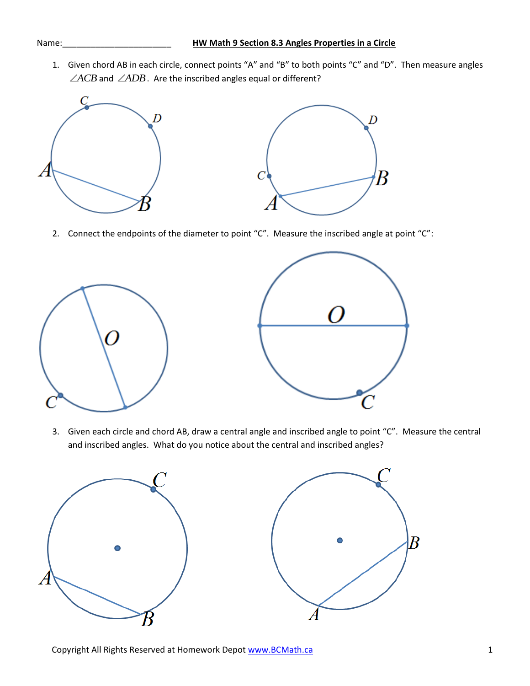1. Given chord AB in each circle, connect points "A" and "B" to both points "C" and "D". Then measure angles  $\angle ACB$  and  $\angle ADB$ . Are the inscribed angles equal or different?



2. Connect the endpoints of the diameter to point "C". Measure the inscribed angle at point "C":





3. Given each circle and chord AB, draw a central angle and inscribed angle to point "C". Measure the central and inscribed angles. What do you notice about the central and inscribed angles?

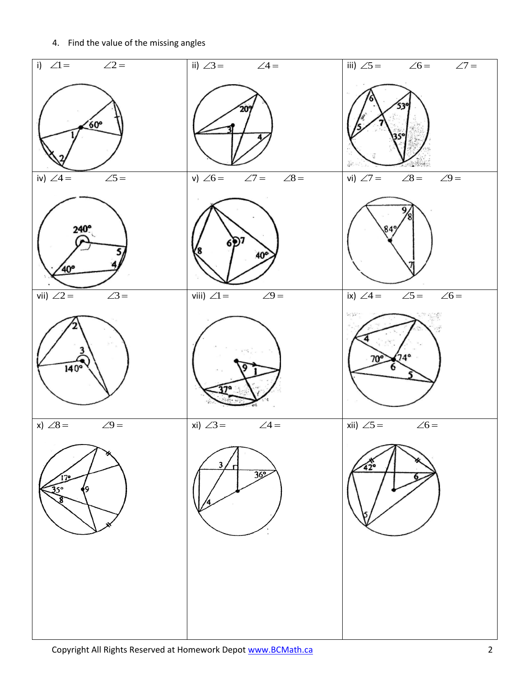4. Find the value of the missing angles